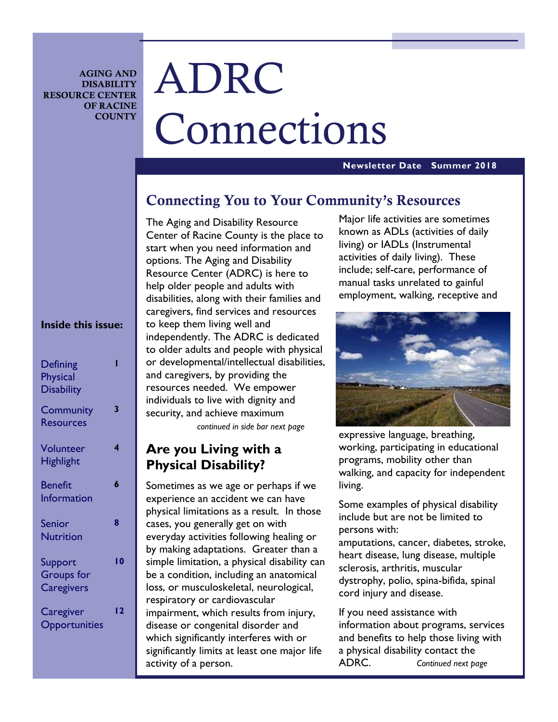**AGING AND DISABILITY RESOURCE CENTER OF RACINE COUNTY** 

# ADRC Connections

#### **Newsletter Date Summer 2018**

# **Connecting You to Your Community's Resources**

The Aging and Disability Resource Center of Racine County is the place to start when you need information and options. The Aging and Disability Resource Center (ADRC) is here to help older people and adults with disabilities, along with their families and caregivers, find services and resources to keep them living well and independently. The ADRC is dedicated to older adults and people with physical or developmental/intellectual disabilities, and caregivers, by providing the resources needed. We empower individuals to live with dignity and security, and achieve maximum *continued in side bar next page* 

# **Are you Living with a Physical Disability?**

Sometimes as we age or perhaps if we experience an accident we can have physical limitations as a result. In those cases, you generally get on with everyday activities following healing or by making adaptations. Greater than a simple limitation, a physical disability can be a condition, including an anatomical loss, or musculoskeletal, neurological, respiratory or cardiovascular impairment, which results from injury, disease or congenital disorder and which significantly interferes with or significantly limits at least one major life activity of a person.

Major life activities are sometimes known as ADLs (activities of daily living) or IADLs (Instrumental activities of daily living). These include; self-care, performance of manual tasks unrelated to gainful employment, walking, receptive and



expressive language, breathing, working, participating in educational programs, mobility other than walking, and capacity for independent living.

Some examples of physical disability include but are not be limited to persons with:

amputations, cancer, diabetes, stroke, heart disease, lung disease, multiple sclerosis, arthritis, muscular dystrophy, polio, spina-bifida, spinal cord injury and disease.

If you need assistance with information about programs, services and benefits to help those living with a physical disability contact the ADRC. *Continued next page* 

#### **Inside this issue:**

| <b>Defining</b><br><b>Physical</b><br><b>Disability</b> |     |
|---------------------------------------------------------|-----|
| Community<br><b>Resources</b>                           | 3   |
| Volunteer<br><b>Highlight</b>                           | 4   |
| <b>Benefit</b><br><b>Information</b>                    | 6   |
| <b>Senior</b><br><b>Nutrition</b>                       | 8   |
| Support<br><b>Groups</b> for<br><b>Caregivers</b>       | 10  |
| Caregiver<br>Opportunities                              | I 2 |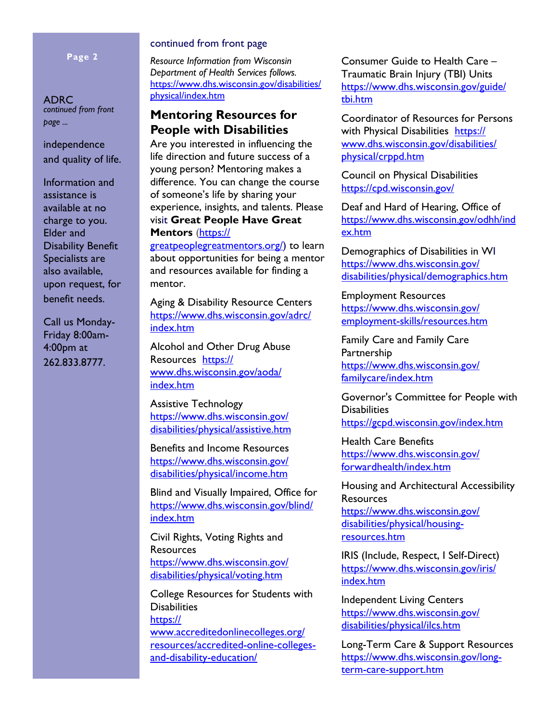#### **Page 2**

ADRC *continued from front page ...*

independence and quality of life.

Information and assistance is available at no charge to you. Elder and Disability Benefit Specialists are also available, upon request, for benefit needs.

Call us Monday-Friday 8:00am-4:00pm at 262.833.8777.

#### continued from front page

*Resource Information from Wisconsin Department of Health Services follows.*  https://www.dhs.wisconsin.gov/disabilities/ physical/index.htm

# **Mentoring Resources for People with Disabilities**

Are you interested in influencing the life direction and future success of a young person? Mentoring makes a difference. You can change the course of someone's life by sharing your experience, insights, and talents. Please visit **Great People Have Great Mentors** (https://

greatpeoplegreatmentors.org/) to learn about opportunities for being a mentor and resources available for finding a mentor.

Aging & Disability Resource Centers https://www.dhs.wisconsin.gov/adrc/ index.htm

Alcohol and Other Drug Abuse Resources https:// www.dhs.wisconsin.gov/aoda/ index.htm

Assistive Technology https://www.dhs.wisconsin.gov/ disabilities/physical/assistive.htm

Benefits and Income Resources https://www.dhs.wisconsin.gov/ disabilities/physical/income.htm

Blind and Visually Impaired, Office for https://www.dhs.wisconsin.gov/blind/ index.htm

Civil Rights, Voting Rights and Resources https://www.dhs.wisconsin.gov/ disabilities/physical/voting.htm

College Resources for Students with **Disabilities** https:// www.accreditedonlinecolleges.org/

resources/accredited-online-collegesand-disability-education/

Consumer Guide to Health Care – Traumatic Brain Injury (TBI) Units https://www.dhs.wisconsin.gov/guide/ tbi.htm

Coordinator of Resources for Persons with Physical Disabilities https:// www.dhs.wisconsin.gov/disabilities/ physical/crppd.htm

Council on Physical Disabilities https://cpd.wisconsin.gov/

Deaf and Hard of Hearing, Office of https://www.dhs.wisconsin.gov/odhh/ind ex.htm

Demographics of Disabilities in WI https://www.dhs.wisconsin.gov/ disabilities/physical/demographics.htm

Employment Resources https://www.dhs.wisconsin.gov/ employment-skills/resources.htm

Family Care and Family Care Partnership https://www.dhs.wisconsin.gov/ familycare/index.htm

Governor's Committee for People with **Disabilities** https://gcpd.wisconsin.gov/index.htm

Health Care Benefits https://www.dhs.wisconsin.gov/ forwardhealth/index.htm

Housing and Architectural Accessibility Resources https://www.dhs.wisconsin.gov/ disabilities/physical/housingresources.htm

IRIS (Include, Respect, I Self-Direct) https://www.dhs.wisconsin.gov/iris/ index.htm

Independent Living Centers https://www.dhs.wisconsin.gov/ disabilities/physical/ilcs.htm

Long-Term Care & Support Resources https://www.dhs.wisconsin.gov/longterm-care-support.htm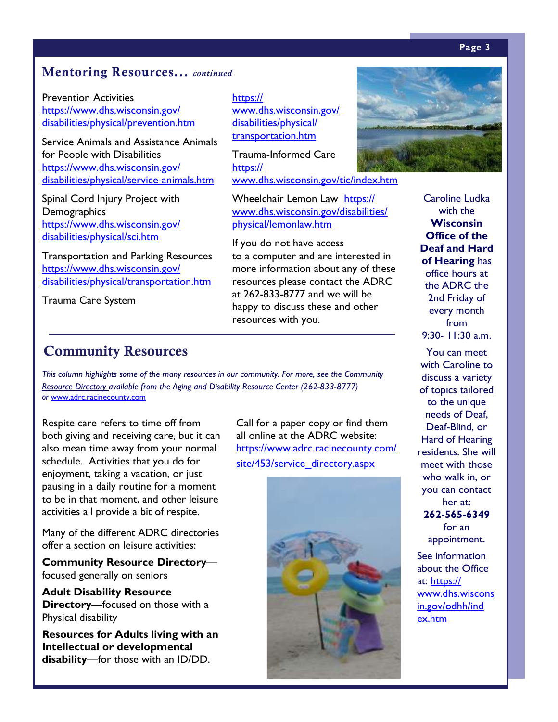#### **Page 3**

# **Mentoring Resources...** *continued*

Prevention Activities https://www.dhs.wisconsin.gov/ disabilities/physical/prevention.htm

Service Animals and Assistance Animals for People with Disabilities https://www.dhs.wisconsin.gov/ disabilities/physical/service-animals.htm

Spinal Cord Injury Project with **Demographics** https://www.dhs.wisconsin.gov/ disabilities/physical/sci.htm

Transportation and Parking Resources https://www.dhs.wisconsin.gov/ disabilities/physical/transportation.htm

Trauma Care System

# **Community Resources**

*This column highlights some of the many resources in our community. For more, see the Community Resource Directory available from the Aging and Disability Resource Center (262-833-8777) or* www.adrc.racinecounty.com

Respite care refers to time off from both giving and receiving care, but it can also mean time away from your normal schedule. Activities that you do for enjoyment, taking a vacation, or just pausing in a daily routine for a moment to be in that moment, and other leisure activities all provide a bit of respite.

Many of the different ADRC directories offer a section on leisure activities:

**Community Resource Directory** focused generally on seniors

**Adult Disability Resource Directory**—focused on those with a Physical disability

**Resources for Adults living with an Intellectual or developmental disability**—for those with an ID/DD.

https:// www.dhs.wisconsin.gov/ disabilities/physical/ transportation.htm

Trauma-Informed Care https:// www.dhs.wisconsin.gov/tic/index.htm

Wheelchair Lemon Law https:// www.dhs.wisconsin.gov/disabilities/ physical/lemonlaw.htm

If you do not have access to a computer and are interested in more information about any of these resources please contact the ADRC at 262-833-8777 and we will be happy to discuss these and other resources with you.







Caroline Ludka with the **Wisconsin Office of the Deaf and Hard of Hearing** has office hours at the ADRC the 2nd Friday of every month from 9:30- 11:30 a.m.

You can meet with Caroline to discuss a variety of topics tailored to the unique needs of Deaf, Deaf-Blind, or Hard of Hearing residents. She will meet with those who walk in, or you can contact her at: **262-565-6349**  for an

appointment.

See information about the Office at: https:// www.dhs.wiscons in.gov/odhh/ind ex.htm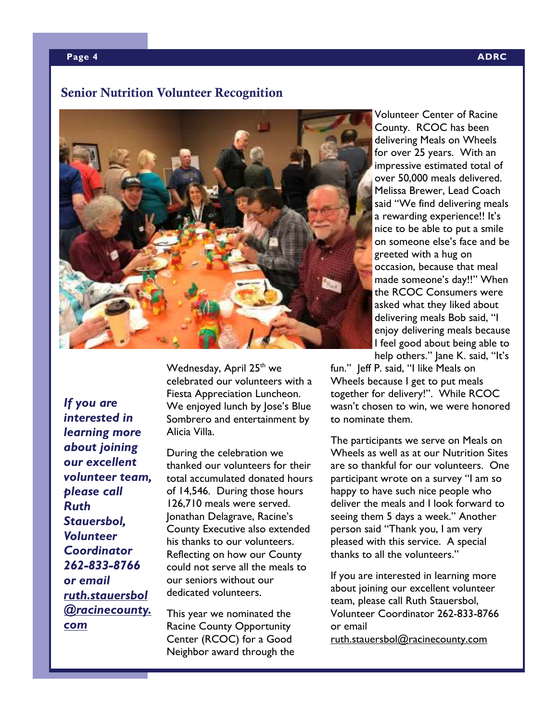#### **Page 4 ADRC**

# **Senior Nutrition Volunteer Recognition**



*If you are interested in learning more about joining our excellent volunteer team, please call Ruth Stauersbol, Volunteer Coordinator 262-833-8766 or email ruth.stauersbol @racinecounty. com* 

Wednesday, April 25<sup>th</sup> we celebrated our volunteers with a Fiesta Appreciation Luncheon. We enjoyed lunch by Jose's Blue Sombrero and entertainment by Alicia Villa.

During the celebration we thanked our volunteers for their total accumulated donated hours of 14,546. During those hours 126,710 meals were served. Jonathan Delagrave, Racine's County Executive also extended his thanks to our volunteers. Reflecting on how our County could not serve all the meals to our seniors without our dedicated volunteers.

This year we nominated the Racine County Opportunity Center (RCOC) for a Good Neighbor award through the

Volunteer Center of Racine County. RCOC has been delivering Meals on Wheels for over 25 years. With an impressive estimated total of over 50,000 meals delivered. Melissa Brewer, Lead Coach said "We find delivering meals a rewarding experience!! It's nice to be able to put a smile on someone else's face and be greeted with a hug on occasion, because that meal made someone's day!!" When the RCOC Consumers were asked what they liked about delivering meals Bob said, "I enjoy delivering meals because I feel good about being able to help others." Jane K. said, "It's

fun." Jeff P. said, "I like Meals on Wheels because I get to put meals together for delivery!". While RCOC wasn't chosen to win, we were honored to nominate them.

The participants we serve on Meals on Wheels as well as at our Nutrition Sites are so thankful for our volunteers. One participant wrote on a survey "I am so happy to have such nice people who deliver the meals and I look forward to seeing them 5 days a week." Another person said "Thank you, I am very pleased with this service. A special thanks to all the volunteers."

If you are interested in learning more about joining our excellent volunteer team, please call Ruth Stauersbol, Volunteer Coordinator 262-833-8766 or email

ruth.stauersbol@racinecounty.com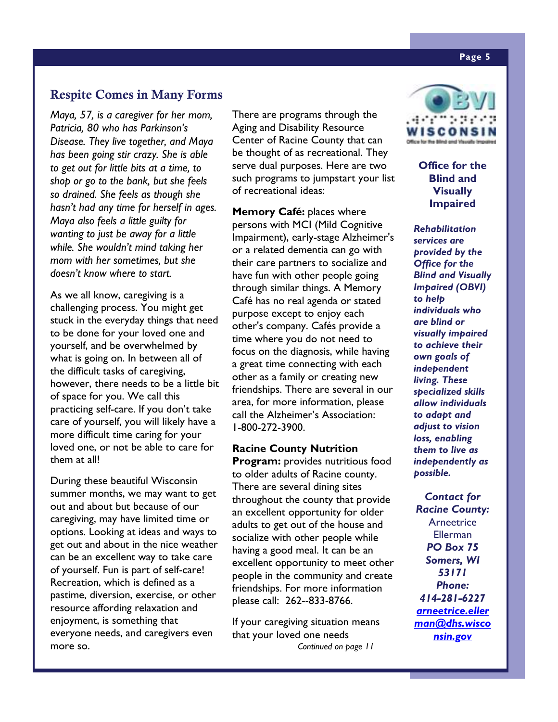# **Respite Comes in Many Forms**

*Maya, 57, is a caregiver for her mom, Patricia, 80 who has Parkinson's Disease. They live together, and Maya has been going stir crazy. She is able to get out for little bits at a time, to shop or go to the bank, but she feels so drained. She feels as though she hasn't had any time for herself in ages. Maya also feels a little guilty for wanting to just be away for a little while. She wouldn't mind taking her mom with her sometimes, but she doesn't know where to start.* 

As we all know, caregiving is a challenging process. You might get stuck in the everyday things that need to be done for your loved one and yourself, and be overwhelmed by what is going on. In between all of the difficult tasks of caregiving, however, there needs to be a little bit of space for you. We call this practicing self-care. If you don't take care of yourself, you will likely have a more difficult time caring for your loved one, or not be able to care for them at all!

During these beautiful Wisconsin summer months, we may want to get out and about but because of our caregiving, may have limited time or options. Looking at ideas and ways to get out and about in the nice weather can be an excellent way to take care of yourself. Fun is part of self-care! Recreation, which is defined as a pastime, diversion, exercise, or other resource affording relaxation and enjoyment, is something that everyone needs, and caregivers even more so.

There are programs through the Aging and Disability Resource Center of Racine County that can be thought of as recreational. They serve dual purposes. Here are two such programs to jumpstart your list of recreational ideas:

**Memory Café:** places where persons with MCI (Mild Cognitive Impairment), early-stage Alzheimer's or a related dementia can go with their care partners to socialize and have fun with other people going through similar things. A Memory Café has no real agenda or stated purpose except to enjoy each other's company. Cafés provide a time where you do not need to focus on the diagnosis, while having a great time connecting with each other as a family or creating new friendships. There are several in our area, for more information, please call the Alzheimer's Association: 1-800-272-3900.

**Racine County Nutrition Program:** provides nutritious food to older adults of Racine county. There are several dining sites throughout the county that provide an excellent opportunity for older adults to get out of the house and socialize with other people while having a good meal. It can be an excellent opportunity to meet other people in the community and create friendships. For more information please call: 262--833-8766.

If your caregiving situation means that your loved one needs *Continued on page 11* 



**Office for the Blind and Visually Impaired** 

*Rehabilitation services are provided by the Office for the Blind and Visually Impaired (OBVI) to help individuals who are blind or visually impaired to achieve their own goals of independent living. These specialized skills allow individuals to adapt and adjust to vision loss, enabling them to live as independently as possible.* 

*Contact for Racine County:*  **Arneetrice** Ellerman *PO Box 75 Somers, WI 53171 Phone: 414-281-6227 arneetrice.eller man@dhs.wisco nsin.gov*

#### **Page 5**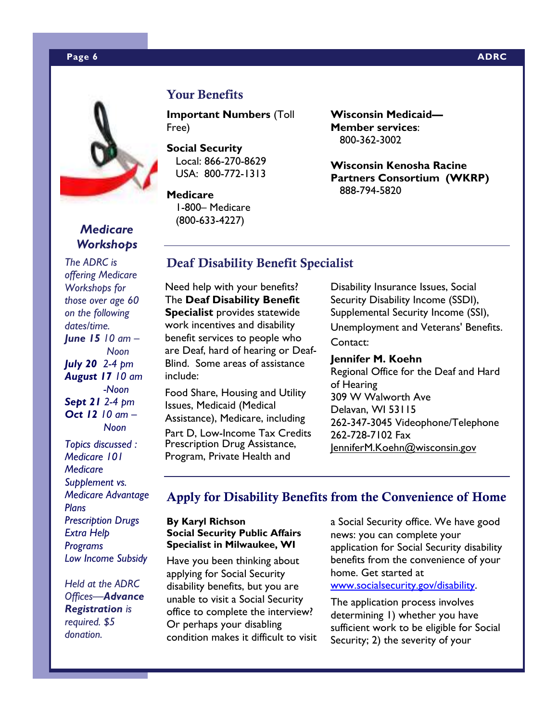#### **Page 6 ADRC 2012 12:00:00 ADRC 2014 12:00:00 ADRC 2014 12:00:00 ADRC**



# *Medicare Workshops*

*The ADRC is offering Medicare Workshops for those over age 60 on the following dates/time. June 15 10 am – Noon July 20 2-4 pm August 17 10 am -Noon Sept 21 2-4 pm Oct 12 10 am – Noon* 

*Topics discussed : Medicare 101 Medicare Supplement vs. Medicare Advantage Plans Prescription Drugs Extra Help Programs Low Income Subsidy* 

*Held at the ADRC Offices—Advance Registration is required. \$5 donation.* 

# **Your Benefits**

**Important Numbers** (Toll Free)

**Social Security**  Local: 866-270-8629 USA: 800-772-1313

**Medicare** 

 1-800– Medicare (800-633-4227)

**Wisconsin Medicaid— Member services**: 800-362-3002

**Wisconsin Kenosha Racine Partners Consortium (WKRP)**  888-794-5820

# **Deaf Disability Benefit Specialist**

Need help with your benefits? The **Deaf Disability Benefit Specialist** provides statewide work incentives and disability benefit services to people who are Deaf, hard of hearing or Deaf-Blind. Some areas of assistance include:

Food Share, Housing and Utility Issues, Medicaid (Medical Assistance), Medicare, including

Part D, Low-Income Tax Credits Prescription Drug Assistance, Program, Private Health and

Disability Insurance Issues, Social Security Disability Income (SSDI), Supplemental Security Income (SSI), Unemployment and Veterans' Benefits. Contact:

# **Jennifer M. Koehn** Regional Office for the Deaf and Hard

of Hearing 309 W Walworth Ave Delavan, WI 53115 262-347-3045 Videophone/Telephone 262-728-7102 Fax JenniferM.Koehn@wisconsin.gov

# **Apply for Disability Benefits from the Convenience of Home**

#### **By Karyl Richson Social Security Public Affairs Specialist in Milwaukee, WI**

Have you been thinking about applying for Social Security disability benefits, but you are unable to visit a Social Security office to complete the interview? Or perhaps your disabling condition makes it difficult to visit a Social Security office. We have good news: you can complete your application for Social Security disability benefits from the convenience of your home. Get started at www.socialsecurity.gov/disability.

The application process involves determining 1) whether you have sufficient work to be eligible for Social Security; 2) the severity of your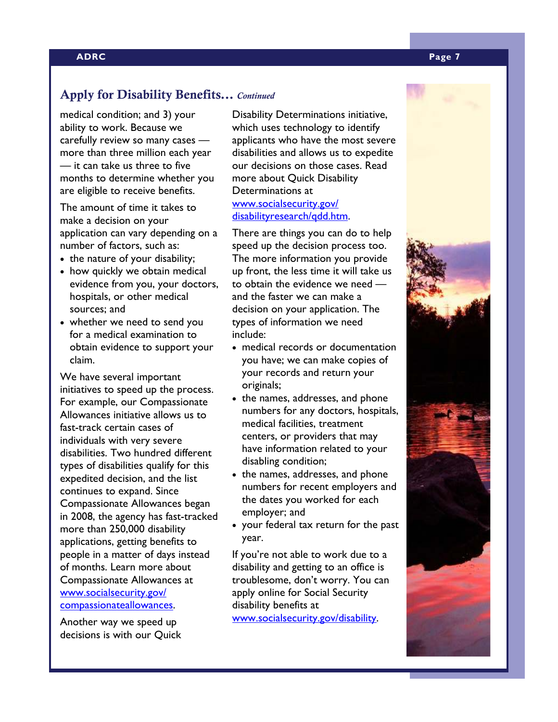# **Apply for Disability Benefits...** *Continued*

medical condition; and 3) your ability to work. Because we carefully review so many cases more than three million each year — it can take us three to five months to determine whether you are eligible to receive benefits.

The amount of time it takes to make a decision on your application can vary depending on a number of factors, such as:

- the nature of your disability;
- how quickly we obtain medical evidence from you, your doctors, hospitals, or other medical sources; and
- whether we need to send you for a medical examination to obtain evidence to support your claim.

We have several important initiatives to speed up the process. For example, our Compassionate Allowances initiative allows us to fast-track certain cases of individuals with very severe disabilities. Two hundred different types of disabilities qualify for this expedited decision, and the list continues to expand. Since Compassionate Allowances began in 2008, the agency has fast-tracked more than 250,000 disability applications, getting benefits to people in a matter of days instead of months. Learn more about Compassionate Allowances at www.socialsecurity.gov/ compassionateallowances.

Another way we speed up decisions is with our Quick Disability Determinations initiative, which uses technology to identify applicants who have the most severe disabilities and allows us to expedite our decisions on those cases. Read more about Quick Disability Determinations at www.socialsecurity.gov/ disabilityresearch/qdd.htm.

There are things you can do to help speed up the decision process too. The more information you provide up front, the less time it will take us to obtain the evidence we need and the faster we can make a decision on your application. The types of information we need include:

- medical records or documentation you have; we can make copies of your records and return your originals;
- the names, addresses, and phone numbers for any doctors, hospitals, medical facilities, treatment centers, or providers that may have information related to your disabling condition;
- the names, addresses, and phone numbers for recent employers and the dates you worked for each employer; and
- your federal tax return for the past year.

If you're not able to work due to a disability and getting to an office is troublesome, don't worry. You can apply online for Social Security disability benefits at www.socialsecurity.gov/disability.

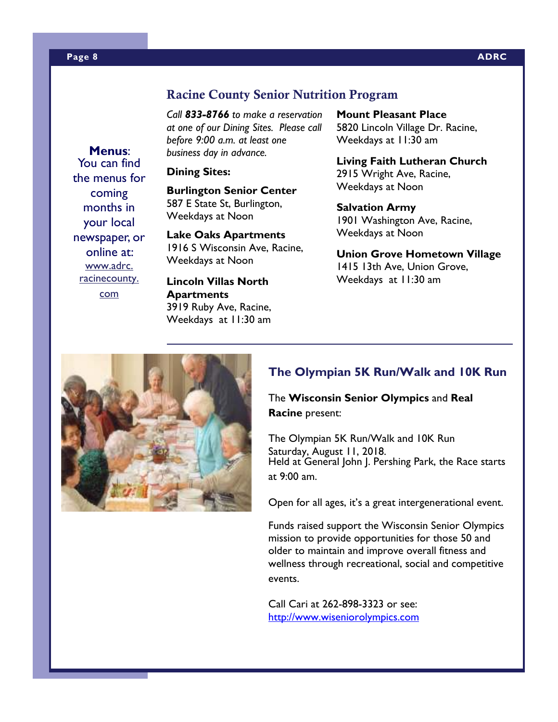## **Racine County Senior Nutrition Program**

*Call 833-8766 to make a reservation at one of our Dining Sites. Please call before 9:00 a.m. at least one business day in advance.* 

#### **Dining Sites:**

**Burlington Senior Center**  587 E State St, Burlington, Weekdays at Noon

**Lake Oaks Apartments**  1916 S Wisconsin Ave, Racine, Weekdays at Noon

**Lincoln Villas North Apartments**  3919 Ruby Ave, Racine, Weekdays at 11:30 am **Mount Pleasant Place**  5820 Lincoln Village Dr. Racine, Weekdays at 11:30 am

**Living Faith Lutheran Church**  2915 Wright Ave, Racine, Weekdays at Noon

**Salvation Army**  1901 Washington Ave, Racine, Weekdays at Noon

**Union Grove Hometown Village**  1415 13th Ave, Union Grove, Weekdays at 11:30 am



# **The Olympian 5K Run/Walk and 10K Run**

The **Wisconsin Senior Olympics** and **Real Racine** present:

The Olympian 5K Run/Walk and 10K Run Saturday, August 11, 2018. Held at General John J. Pershing Park, the Race starts at 9:00 am.

Open for all ages, it's a great intergenerational event.

Funds raised support the Wisconsin Senior Olympics mission to provide opportunities for those 50 and older to maintain and improve overall fitness and wellness through recreational, social and competitive events.

Call Cari at 262-898-3323 or see: http://www.wiseniorolympics.com

You can find the menus for coming months in your local newspaper, or online at: www.adrc. racinecounty. com

**Menus**: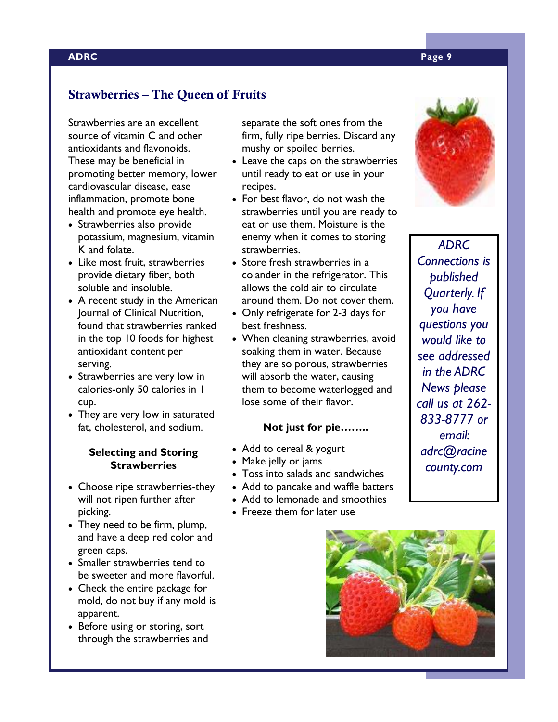# **Strawberries – The Queen of Fruits**

Strawberries are an excellent source of vitamin C and other antioxidants and flavonoids. These may be beneficial in promoting better memory, lower cardiovascular disease, ease inflammation, promote bone health and promote eye health.

- Strawberries also provide potassium, magnesium, vitamin K and folate.
- Like most fruit, strawberries provide dietary fiber, both soluble and insoluble.
- A recent study in the American Journal of Clinical Nutrition, found that strawberries ranked in the top 10 foods for highest antioxidant content per serving.
- Strawberries are very low in calories-only 50 calories in 1 cup.
- They are very low in saturated fat, cholesterol, and sodium.

#### **Selecting and Storing Strawberries**

- Choose ripe strawberries-they will not ripen further after picking.
- They need to be firm, plump, and have a deep red color and green caps.
- Smaller strawberries tend to be sweeter and more flavorful.
- Check the entire package for mold, do not buy if any mold is apparent.
- Before using or storing, sort through the strawberries and

separate the soft ones from the firm, fully ripe berries. Discard any mushy or spoiled berries.

- Leave the caps on the strawberries until ready to eat or use in your recipes.
- For best flavor, do not wash the strawberries until you are ready to eat or use them. Moisture is the enemy when it comes to storing strawberries.
- Store fresh strawberries in a colander in the refrigerator. This allows the cold air to circulate around them. Do not cover them.
- Only refrigerate for 2-3 days for best freshness.
- When cleaning strawberries, avoid soaking them in water. Because they are so porous, strawberries will absorb the water, causing them to become waterlogged and lose some of their flavor.

#### **Not just for pie……..**

- Add to cereal & yogurt
- Make jelly or jams
- Toss into salads and sandwiches
- Add to pancake and waffle batters
- Add to lemonade and smoothies
- Freeze them for later use



*ADRC Connections is published Quarterly. If you have questions you would like to see addressed in the ADRC News please call us at 262- 833-8777 or email: adrc@racine county.com* 

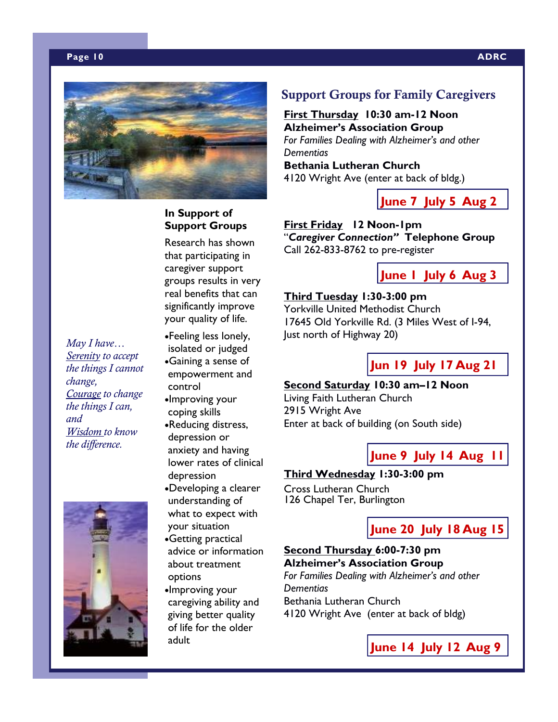#### **Page 10 ADRC**



**In Support of Support Groups**  Research has shown that participating in caregiver support groups results in very real benefits that can significantly improve your quality of life.

coping skills •Reducing distress, depression or anxiety and having lower rates of clinical

depression

## **Support Groups for Family Caregivers**

**First Thursday 10:30 am-12 Noon Alzheimer's Association Group**  *For Families Dealing with Alzheimer's and other Dementias*  **Bethania Lutheran Church** 4120 Wright Ave (enter at back of bldg.)

**June 7 July 5 Aug 2**

**First Friday 12 Noon-1pm**  "*Caregiver Connection"* **Telephone Group**  Call 262-833-8762 to pre-register

**June 1 July 6 Aug 3**

# **Third Tuesday 1:30-3:00 pm**

Yorkville United Methodist Church 17645 Old Yorkville Rd. (3 Miles West of I-94, Just north of Highway 20)

**Jun 19 July 17 Aug 21**

## **Second Saturday 10:30 am–12 Noon**

Living Faith Lutheran Church 2915 Wright Ave Enter at back of building (on South side)

**June 9 July 14 Aug 11**

#### **Third Wednesday 1:30-3:00 pm**

126 Chapel Ter, Burlington

# **June 20 July 18 Aug 15**

## **Second Thursday 6:00-7:30 pm Alzheimer's Association Group**

*For Families Dealing with Alzheimer's and other Dementias*  Bethania Lutheran Church

4120 Wright Ave (enter at back of bldg)



Cross Lutheran Church •Developing a clearer what to expect with

your situation •Getting practical advice or information about treatment options

understanding of

•Improving your caregiving ability and giving better quality of life for the older adult

*May I have… Serenity to accept the things I cannot change, Courage to change the things I can, and Wisdom to know the difference.* 



**June 14 July 12 Aug 9**



•Feeling less lonely, isolated or judged •Gaining a sense of empowerment and control •Improving your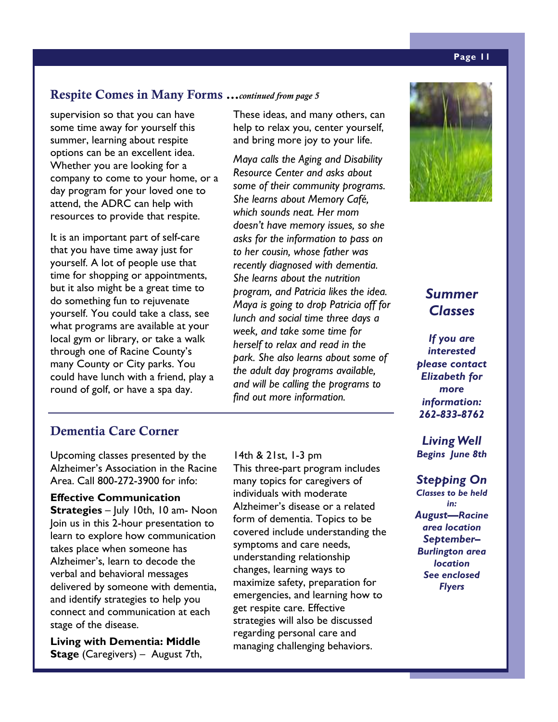# **Respite Comes in Many Forms ...***continued from page 5*

supervision so that you can have some time away for yourself this summer, learning about respite options can be an excellent idea. Whether you are looking for a company to come to your home, or a day program for your loved one to attend, the ADRC can help with resources to provide that respite.

It is an important part of self-care that you have time away just for yourself. A lot of people use that time for shopping or appointments, but it also might be a great time to do something fun to rejuvenate yourself. You could take a class, see what programs are available at your local gym or library, or take a walk through one of Racine County's many County or City parks. You could have lunch with a friend, play a round of golf, or have a spa day.

# These ideas, and many others, can help to relax you, center yourself, and bring more joy to your life.

*Maya calls the Aging and Disability Resource Center and asks about some of their community programs. She learns about Memory Café, which sounds neat. Her mom doesn't have memory issues, so she asks for the information to pass on to her cousin, whose father was recently diagnosed with dementia. She learns about the nutrition program, and Patricia likes the idea. Maya is going to drop Patricia off for lunch and social time three days a week, and take some time for herself to relax and read in the park. She also learns about some of the adult day programs available, and will be calling the programs to find out more information.*

# **Dementia Care Corner**

Upcoming classes presented by the Alzheimer's Association in the Racine Area. Call 800-272-3900 for info:

**Effective Communication Strategies** – July 10th, 10 am- Noon Join us in this 2-hour presentation to learn to explore how communication takes place when someone has Alzheimer's, learn to decode the verbal and behavioral messages delivered by someone with dementia, and identify strategies to help you connect and communication at each stage of the disease.

**Living with Dementia: Middle Stage** (Caregivers) – August 7th,

14th & 21st, 1-3 pm This three-part program includes many topics for caregivers of individuals with moderate Alzheimer's disease or a related form of dementia. Topics to be covered include understanding the symptoms and care needs, understanding relationship changes, learning ways to maximize safety, preparation for emergencies, and learning how to get respite care. Effective strategies will also be discussed regarding personal care and managing challenging behaviors.



# *Summer Classes*

*If you are interested please contact Elizabeth for more information: 262-833-8762* 

*Living Well Begins June 8th* 

*Stepping On Classes to be held in: August—Racine area location September– Burlington area location See enclosed Flyers* 

#### **Page 11**